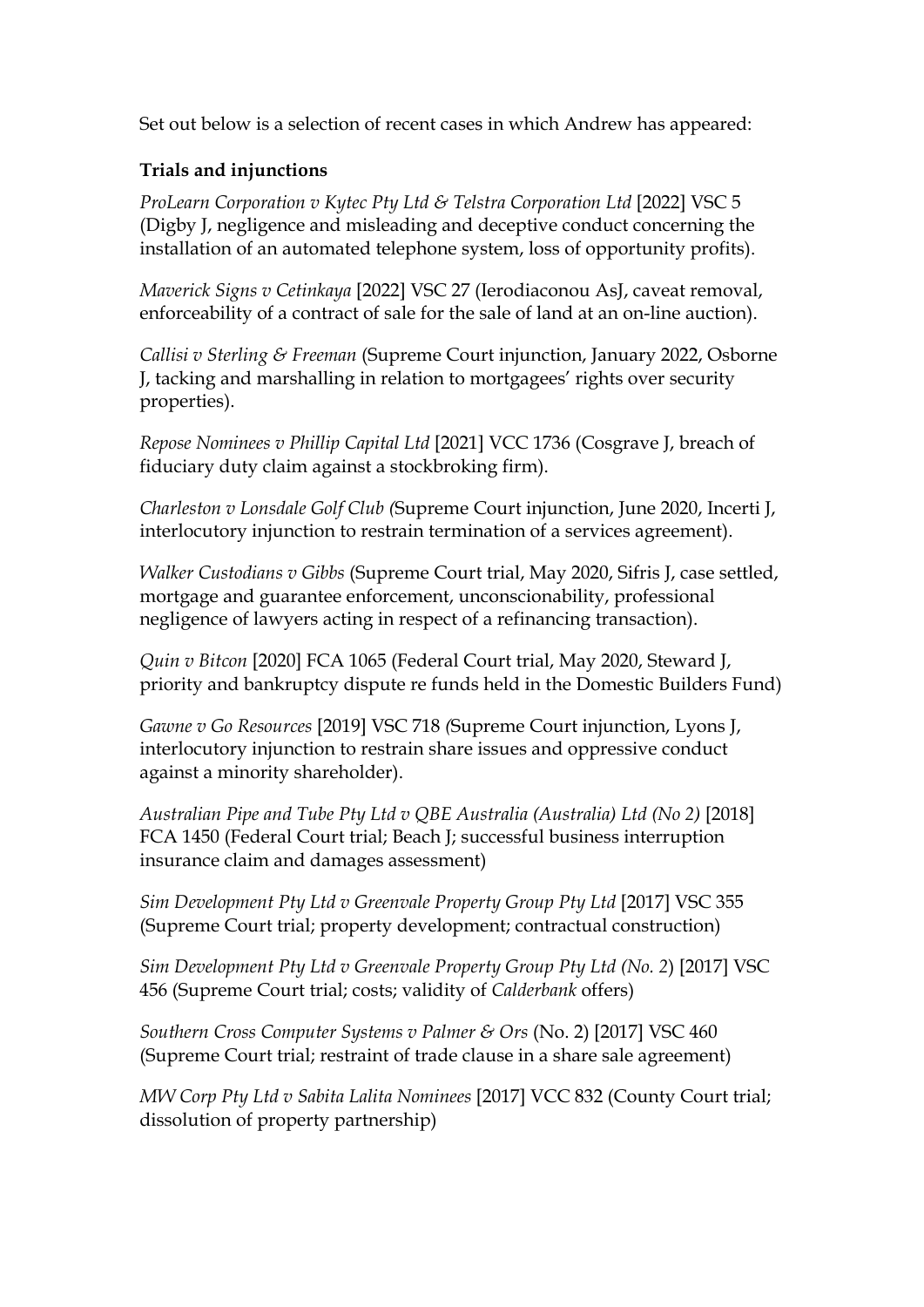Set out below is a selection of recent cases in which Andrew has appeared:

## **Trials and injunctions**

*ProLearn Corporation v Kytec Pty Ltd & Telstra Corporation Ltd* [2022] VSC 5 (Digby J, negligence and misleading and deceptive conduct concerning the installation of an automated telephone system, loss of opportunity profits).

*Maverick Signs v Cetinkaya* [2022] VSC 27 (Ierodiaconou AsJ, caveat removal, enforceability of a contract of sale for the sale of land at an on-line auction).

*Callisi v Sterling & Freeman* (Supreme Court injunction, January 2022, Osborne J, tacking and marshalling in relation to mortgagees' rights over security properties).

*Repose Nominees v Phillip Capital Ltd* [2021] VCC 1736 (Cosgrave J, breach of fiduciary duty claim against a stockbroking firm).

*Charleston v Lonsdale Golf Club (*Supreme Court injunction, June 2020, Incerti J, interlocutory injunction to restrain termination of a services agreement).

*Walker Custodians v Gibbs* (Supreme Court trial, May 2020, Sifris J, case settled, mortgage and guarantee enforcement, unconscionability, professional negligence of lawyers acting in respect of a refinancing transaction).

*Quin v Bitcon* [2020] FCA 1065 (Federal Court trial, May 2020, Steward J, priority and bankruptcy dispute re funds held in the Domestic Builders Fund)

*Gawne v Go Resources* [2019] VSC 718 *(*Supreme Court injunction, Lyons J, interlocutory injunction to restrain share issues and oppressive conduct against a minority shareholder).

*Australian Pipe and Tube Pty Ltd v QBE Australia (Australia) Ltd (No 2)* [2018] FCA 1450 (Federal Court trial; Beach J; successful business interruption insurance claim and damages assessment)

*Sim Development Pty Ltd v Greenvale Property Group Pty Ltd* [2017] VSC 355 (Supreme Court trial; property development; contractual construction)

*Sim Development Pty Ltd v Greenvale Property Group Pty Ltd (No. 2*) [2017] VSC 456 (Supreme Court trial; costs; validity of *Calderbank* offers)

*Southern Cross Computer Systems v Palmer & Ors* (No. 2) [2017] VSC 460 (Supreme Court trial; restraint of trade clause in a share sale agreement)

*MW Corp Pty Ltd v Sabita Lalita Nominees* [2017] VCC 832 (County Court trial; dissolution of property partnership)